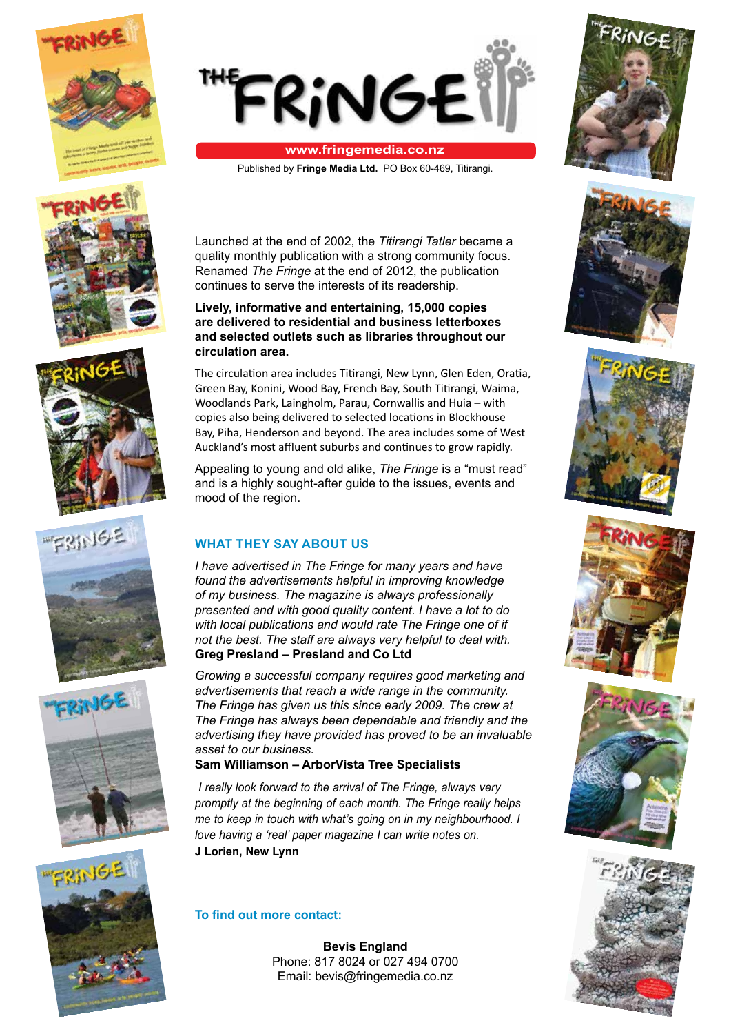



#### **www.fringemedia.co.nz**

Published by **Fringe Media Ltd.** PO Box 60-469, Titirangi.





















Launched at the end of 2002, the *Titirangi Tatler* became a quality monthly publication with a strong community focus. Renamed *The Fringe* at the end of 2012, the publication continues to serve the interests of its readership.

#### **Lively, informative and entertaining, 15,000 copies are delivered to residential and business letterboxes and selected outlets such as libraries throughout our circulation area.**

The circulation area includes Titirangi, New Lynn, Glen Eden, Oratia, Green Bay, Konini, Wood Bay, French Bay, South Titirangi, Waima, Woodlands Park, Laingholm, Parau, Cornwallis and Huia – with copies also being delivered to selected locations in Blockhouse Bay, Piha, Henderson and beyond. The area includes some of West Auckland's most affluent suburbs and continues to grow rapidly.

Appealing to young and old alike, *The Fringe* is a "must read" and is a highly sought-after guide to the issues, events and mood of the region.

## **WHAT THEY SAY ABOUT US**

*I have advertised in The Fringe for many years and have found the advertisements helpful in improving knowledge of my business. The magazine is always professionally presented and with good quality content. I have a lot to do with local publications and would rate The Fringe one of if not the best. The staff are always very helpful to deal with.* **Greg Presland – Presland and Co Ltd**

*Growing a successful company requires good marketing and advertisements that reach a wide range in the community. The Fringe has given us this since early 2009. The crew at The Fringe has always been dependable and friendly and the advertising they have provided has proved to be an invaluable asset to our business.*

## **Sam Williamson – ArborVista Tree Specialists**

*I really look forward to the arrival of The Fringe, always very promptly at the beginning of each month. The Fringe really helps me to keep in touch with what's going on in my neighbourhood. I love having a 'real' paper magazine I can write notes on.* **J Lorien, New Lynn**

## **To find out more contact:**

**Bevis England** Phone: 817 8024 or 027 494 0700 Email: bevis@fringemedia.co.nz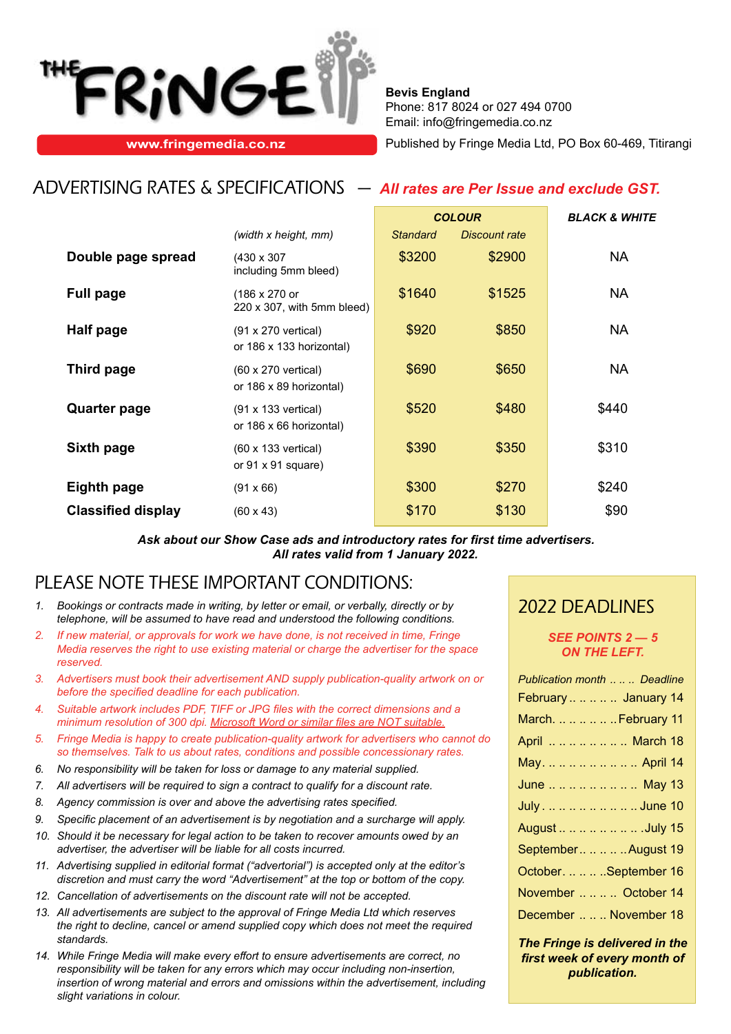

**Bevis England** Phone: 817 8024 or 027 494 0700 Email: info@fringemedia.co.nz

**www.fringemedia.co.nz Published by Fringe Media Ltd, PO Box 60-469, Titirangi** 

## ADVERTISING RATES & SPECIFICATIONS — *All rates are Per Issue and exclude GST.*

|                           |                                                               | <b>COLOUR</b>   |                      | <b>BLACK &amp; WHITE</b> |  |
|---------------------------|---------------------------------------------------------------|-----------------|----------------------|--------------------------|--|
|                           | (width x height, mm)                                          | <b>Standard</b> | <b>Discount rate</b> |                          |  |
| Double page spread        | $(430 \times 307)$<br>including 5mm bleed)                    | \$3200          | \$2900               | <b>NA</b>                |  |
| <b>Full page</b>          | (186 x 270 or<br>220 x 307, with 5mm bleed)                   | \$1640          | \$1525               | NA.                      |  |
| <b>Half page</b>          | $(91 \times 270$ vertical)<br>or 186 x 133 horizontal)        | \$920           | \$850                | <b>NA</b>                |  |
| Third page                | $(60 \times 270 \text{ vertical})$<br>or 186 x 89 horizontal) | \$690           | \$650                | <b>NA</b>                |  |
| <b>Quarter page</b>       | $(91 \times 133 \text{ vertical})$<br>or 186 x 66 horizontal) | \$520           | \$480                | \$440                    |  |
| Sixth page                | (60 x 133 vertical)<br>or $91 \times 91$ square)              | \$390           | \$350                | \$310                    |  |
| <b>Eighth page</b>        | $(91 \times 66)$                                              | \$300           | \$270                | \$240                    |  |
| <b>Classified display</b> | $(60 \times 43)$                                              | \$170           | \$130                | \$90                     |  |

*Ask about our Show Case ads and introductory rates for first time advertisers. All rates valid from 1 January 2022.*

## PLEASE NOTE THESE IMPORTANT CONDITIONS:

- *1. Bookings or contracts made in writing, by letter or email, or verbally, directly or by telephone, will be assumed to have read and understood the following conditions.*
- *2. If new material, or approvals for work we have done, is not received in time, Fringe Media reserves the right to use existing material or charge the advertiser for the space reserved.*
- *3. Advertisers must book their advertisement AND supply publication-quality artwork on or before the specified deadline for each publication.*
- *4. Suitable artwork includes PDF, TIFF or JPG files with the correct dimensions and a minimum resolution of 300 dpi. Microsoft Word or similar files are NOT suitable.*
- *5. Fringe Media is happy to create publication-quality artwork for advertisers who cannot do so themselves. Talk to us about rates, conditions and possible concessionary rates.*
- *6. No responsibility will be taken for loss or damage to any material supplied.*
- *7. All advertisers will be required to sign a contract to qualify for a discount rate.*
- *8. Agency commission is over and above the advertising rates specified.*
- *9. Specific placement of an advertisement is by negotiation and a surcharge will apply.*
- *10. Should it be necessary for legal action to be taken to recover amounts owed by an advertiser, the advertiser will be liable for all costs incurred.*
- *11. Advertising supplied in editorial format ("advertorial") is accepted only at the editor's discretion and must carry the word "Advertisement" at the top or bottom of the copy.*
- *12. Cancellation of advertisements on the discount rate will not be accepted.*
- *13. All advertisements are subject to the approval of Fringe Media Ltd which reserves the right to decline, cancel or amend supplied copy which does not meet the required standards.*
- *14. While Fringe Media will make every effort to ensure advertisements are correct, no responsibility will be taken for any errors which may occur including non-insertion, insertion of wrong material and errors and omissions within the advertisement, including slight variations in colour.*

## 2022 DEADLINES

#### *SEE POINTS 2 — 5 ON THE LEFT.*

| Publication month  Deadline |
|-----------------------------|
| February     January 14     |
| March.      February 11     |
| April        March 18       |
| May.         April 14       |
| June        May 13          |
| July.        June 10        |
| August        .July 15      |
| September     August 19     |
| October.    .September 16   |
| November    October 14      |
| December    November 18     |
|                             |

*The Fringe is delivered in the first week of every month of publication.*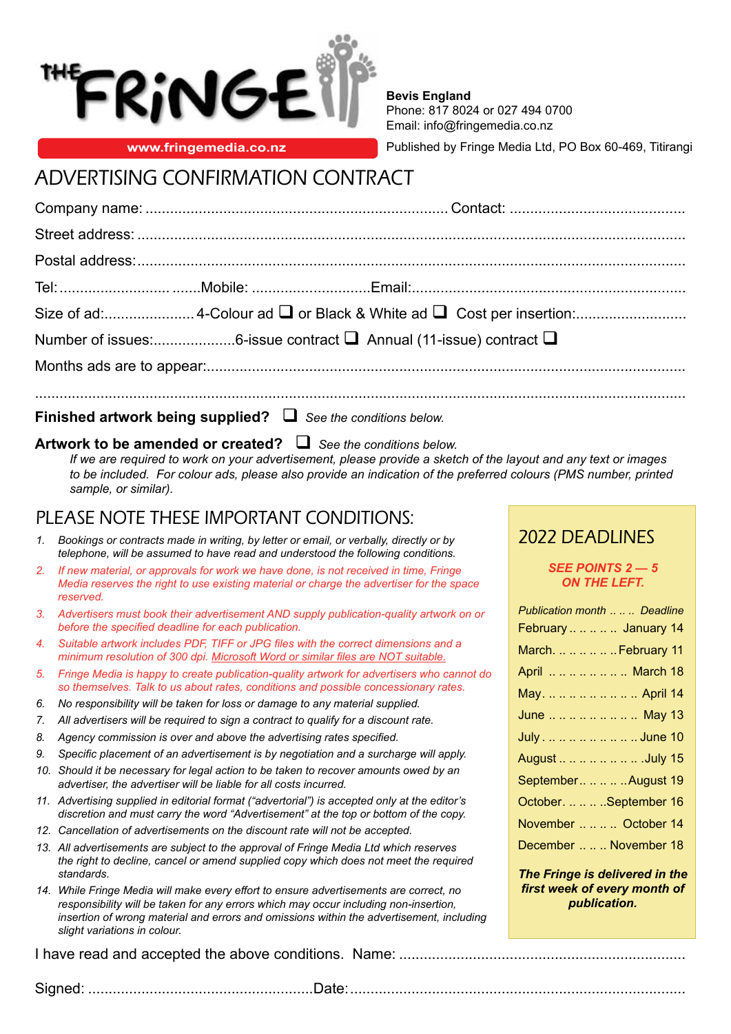

**Bevis England** Phone: 817 8024 or 027 494 0700 Email: info@fringemedia.co.nz

**www.fringemedia.co.nz** Published by Fringe Media Ltd, PO Box 60-469, Titirangi

# ADVERTISING CONFIRMATION CONTRACT

**Finished artwork being supplied?**  *See the conditions below.*

## **Artwork to be amended or created?**  *See the conditions below.*

*If we are required to work on your advertisement, please provide a sketch of the layout and any text or images to be included. For colour ads, please also provide an indication of the preferred colours (PMS number, printed sample, or similar).*

## PLEASE NOTE THESE IMPORTANT CONDITIONS:

- *1. Bookings or contracts made in writing, by letter or email, or verbally, directly or by telephone, will be assumed to have read and understood the following conditions.*
- *2. If new material, or approvals for work we have done, is not received in time, Fringe Media reserves the right to use existing material or charge the advertiser for the space reserved.*
- *3. Advertisers must book their advertisement AND supply publication-quality artwork on or before the specified deadline for each publication.*
- *4. Suitable artwork includes PDF, TIFF or JPG files with the correct dimensions and a minimum resolution of 300 dpi. Microsoft Word or similar files are NOT suitable.*
- *5. Fringe Media is happy to create publication-quality artwork for advertisers who cannot do so themselves. Talk to us about rates, conditions and possible concessionary rates.*
- *6. No responsibility will be taken for loss or damage to any material supplied.*
- *7. All advertisers will be required to sign a contract to qualify for a discount rate.*
- *8. Agency commission is over and above the advertising rates specified.*
- *9. Specific placement of an advertisement is by negotiation and a surcharge will apply.*
- *10. Should it be necessary for legal action to be taken to recover amounts owed by an advertiser, the advertiser will be liable for all costs incurred.*
- *11. Advertising supplied in editorial format ("advertorial") is accepted only at the editor's discretion and must carry the word "Advertisement" at the top or bottom of the copy.*
- *12. Cancellation of advertisements on the discount rate will not be accepted.*
- *13. All advertisements are subject to the approval of Fringe Media Ltd which reserves the right to decline, cancel or amend supplied copy which does not meet the required standards.*
- *14. While Fringe Media will make every effort to ensure advertisements are correct, no responsibility will be taken for any errors which may occur including non-insertion, insertion of wrong material and errors and omissions within the advertisement, including slight variations in colour.*

I have read and accepted the above conditions. Name: ......................................................................

## 2022 DEADLINES

## *SEE POINTS 2 — 5 ON THE LEFT.*

| Publication month  Deadline |
|-----------------------------|
| February     January 14     |
| March.      February 11     |
| April       March 18        |
| May.         April 14       |
| June        May 13          |
| July.        June 10        |
| August        .July 15      |
| September     August 19     |
| October.    .September 16   |
| November    October 14      |
| December    November 18     |
|                             |

*The Fringe is delivered in the first week of every month of publication.*

Signed: .......................................................Date:..................................................................................